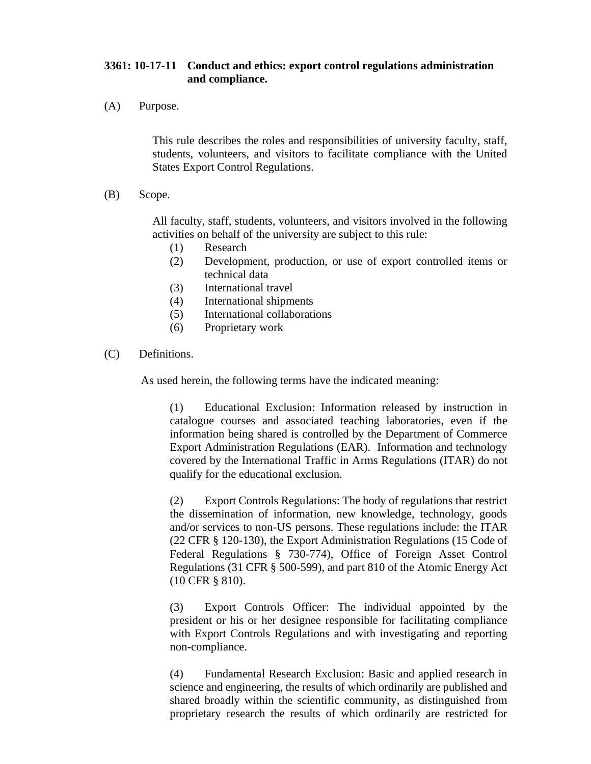## **3361: 10-17-11 Conduct and ethics: export control regulations administration and compliance.**

(A) Purpose.

This rule describes the roles and responsibilities of university faculty, staff, students, volunteers, and visitors to facilitate compliance with the United States Export Control Regulations.

(B) Scope.

All faculty, staff, students, volunteers, and visitors involved in the following activities on behalf of the university are subject to this rule:

- (1) Research
- (2) Development, production, or use of export controlled items or technical data
- (3) International travel
- (4) International shipments
- (5) International collaborations
- (6) Proprietary work
- (C) Definitions.

As used herein, the following terms have the indicated meaning:

(1) Educational Exclusion: Information released by instruction in catalogue courses and associated teaching laboratories, even if the information being shared is controlled by the Department of Commerce Export Administration Regulations (EAR). Information and technology covered by the International Traffic in Arms Regulations (ITAR) do not qualify for the educational exclusion.

(2) Export Controls Regulations: The body of regulations that restrict the dissemination of information, new knowledge, technology, goods and/or services to non-US persons. These regulations include: the ITAR (22 CFR § 120-130), the Export Administration Regulations (15 Code of Federal Regulations § 730-774), Office of Foreign Asset Control Regulations (31 CFR § 500-599), and part 810 of the Atomic Energy Act (10 CFR § 810).

(3) Export Controls Officer: The individual appointed by the president or his or her designee responsible for facilitating compliance with Export Controls Regulations and with investigating and reporting non-compliance.

(4) Fundamental Research Exclusion: Basic and applied research in science and engineering, the results of which ordinarily are published and shared broadly within the scientific community, as distinguished from proprietary research the results of which ordinarily are restricted for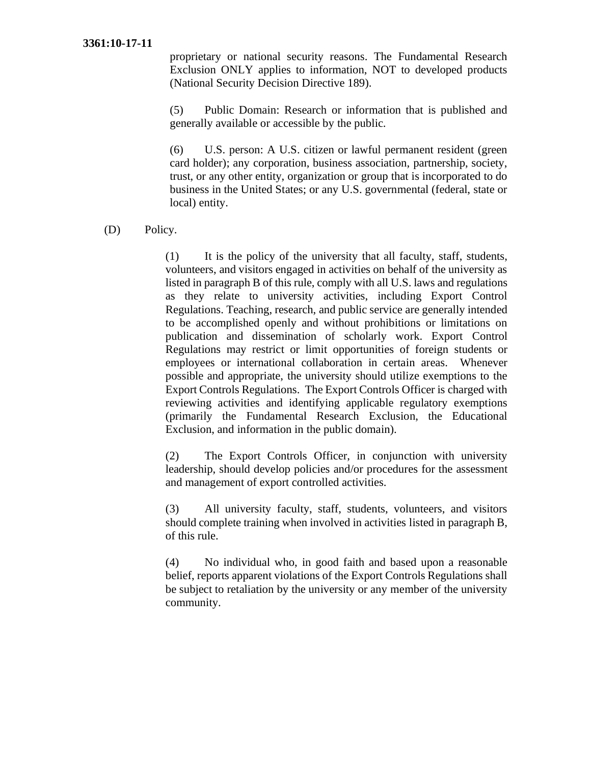## **3361:10-17-11**

proprietary or national security reasons. The Fundamental Research Exclusion ONLY applies to information, NOT to developed products (National Security Decision Directive 189).

(5) Public Domain: Research or information that is published and generally available or accessible by the public.

(6) U.S. person: A U.S. citizen or lawful permanent resident (green card holder); any corporation, business association, partnership, society, trust, or any other entity, organization or group that is incorporated to do business in the United States; or any U.S. governmental (federal, state or local) entity.

## (D) Policy.

(1) It is the policy of the university that all faculty, staff, students, volunteers, and visitors engaged in activities on behalf of the university as listed in paragraph B of this rule, comply with all U.S. laws and regulations as they relate to university activities, including Export Control Regulations. Teaching, research, and public service are generally intended to be accomplished openly and without prohibitions or limitations on publication and dissemination of scholarly work. Export Control Regulations may restrict or limit opportunities of foreign students or employees or international collaboration in certain areas. Whenever possible and appropriate, the university should utilize exemptions to the Export Controls Regulations. The Export Controls Officer is charged with reviewing activities and identifying applicable regulatory exemptions (primarily the Fundamental Research Exclusion, the Educational Exclusion, and information in the public domain).

(2) The Export Controls Officer, in conjunction with university leadership, should develop policies and/or procedures for the assessment and management of export controlled activities.

(3) All university faculty, staff, students, volunteers, and visitors should complete training when involved in activities listed in paragraph B, of this rule.

(4) No individual who, in good faith and based upon a reasonable belief, reports apparent violations of the Export Controls Regulations shall be subject to retaliation by the university or any member of the university community.